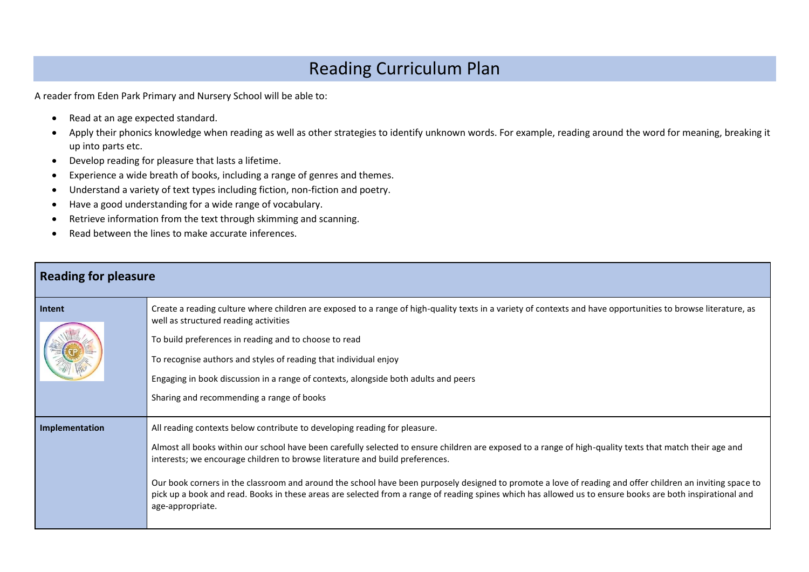## Reading Curriculum Plan

A reader from Eden Park Primary and Nursery School will be able to:

- Read at an age expected standard.
- Apply their phonics knowledge when reading as well as other strategies to identify unknown words. For example, reading around the word for meaning, breaking it up into parts etc.
- Develop reading for pleasure that lasts a lifetime.
- Experience a wide breath of books, including a range of genres and themes.
- Understand a variety of text types including fiction, non-fiction and poetry.
- Have a good understanding for a wide range of vocabulary.
- Retrieve information from the text through skimming and scanning.
- Read between the lines to make accurate inferences.

| <b>Reading for pleasure</b> |                                                                                                                                                                                                                                                                                                                                                                                                                                                                                                                                                                                                                                                                     |
|-----------------------------|---------------------------------------------------------------------------------------------------------------------------------------------------------------------------------------------------------------------------------------------------------------------------------------------------------------------------------------------------------------------------------------------------------------------------------------------------------------------------------------------------------------------------------------------------------------------------------------------------------------------------------------------------------------------|
| Intent                      | Create a reading culture where children are exposed to a range of high-quality texts in a variety of contexts and have opportunities to browse literature, as<br>well as structured reading activities<br>To build preferences in reading and to choose to read<br>To recognise authors and styles of reading that individual enjoy<br>Engaging in book discussion in a range of contexts, alongside both adults and peers<br>Sharing and recommending a range of books                                                                                                                                                                                             |
| Implementation              | All reading contexts below contribute to developing reading for pleasure.<br>Almost all books within our school have been carefully selected to ensure children are exposed to a range of high-quality texts that match their age and<br>interests; we encourage children to browse literature and build preferences.<br>Our book corners in the classroom and around the school have been purposely designed to promote a love of reading and offer children an inviting space to<br>pick up a book and read. Books in these areas are selected from a range of reading spines which has allowed us to ensure books are both inspirational and<br>age-appropriate. |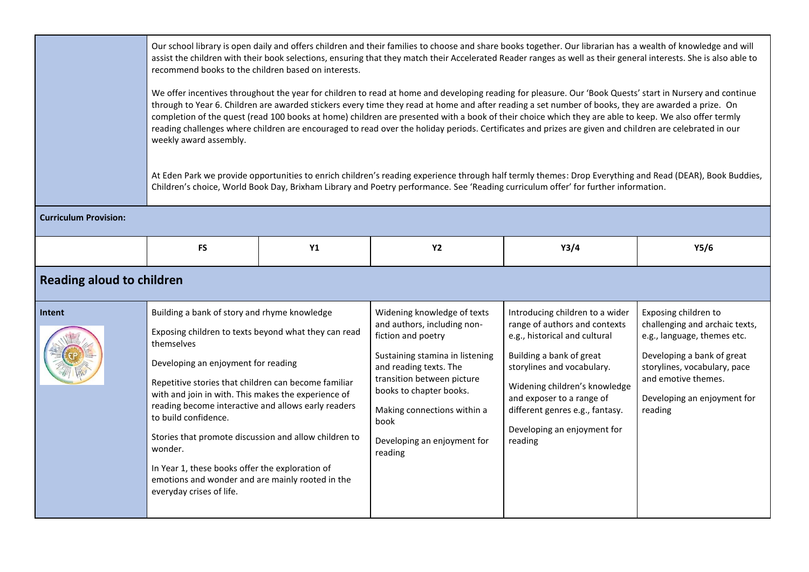|                                  | Our school library is open daily and offers children and their families to choose and share books together. Our librarian has a wealth of knowledge and will<br>assist the children with their book selections, ensuring that they match their Accelerated Reader ranges as well as their general interests. She is also able to<br>recommend books to the children based on interests.<br>We offer incentives throughout the year for children to read at home and developing reading for pleasure. Our 'Book Quests' start in Nursery and continue<br>through to Year 6. Children are awarded stickers every time they read at home and after reading a set number of books, they are awarded a prize. On<br>completion of the quest (read 100 books at home) children are presented with a book of their choice which they are able to keep. We also offer termly<br>reading challenges where children are encouraged to read over the holiday periods. Certificates and prizes are given and children are celebrated in our<br>weekly award assembly.<br>At Eden Park we provide opportunities to enrich children's reading experience through half termly themes: Drop Everything and Read (DEAR), Book Buddies,<br>Children's choice, World Book Day, Brixham Library and Poetry performance. See 'Reading curriculum offer' for further information. |               |                                                                                                                                                                                                                                                                                         |                                                                                                                                                                                                                                                                                                        |                                                                                                                                                                                                                      |
|----------------------------------|-------------------------------------------------------------------------------------------------------------------------------------------------------------------------------------------------------------------------------------------------------------------------------------------------------------------------------------------------------------------------------------------------------------------------------------------------------------------------------------------------------------------------------------------------------------------------------------------------------------------------------------------------------------------------------------------------------------------------------------------------------------------------------------------------------------------------------------------------------------------------------------------------------------------------------------------------------------------------------------------------------------------------------------------------------------------------------------------------------------------------------------------------------------------------------------------------------------------------------------------------------------------------------------------------------------------------------------------------------------|---------------|-----------------------------------------------------------------------------------------------------------------------------------------------------------------------------------------------------------------------------------------------------------------------------------------|--------------------------------------------------------------------------------------------------------------------------------------------------------------------------------------------------------------------------------------------------------------------------------------------------------|----------------------------------------------------------------------------------------------------------------------------------------------------------------------------------------------------------------------|
| <b>Curriculum Provision:</b>     |                                                                                                                                                                                                                                                                                                                                                                                                                                                                                                                                                                                                                                                                                                                                                                                                                                                                                                                                                                                                                                                                                                                                                                                                                                                                                                                                                             |               |                                                                                                                                                                                                                                                                                         |                                                                                                                                                                                                                                                                                                        |                                                                                                                                                                                                                      |
|                                  | <b>FS</b>                                                                                                                                                                                                                                                                                                                                                                                                                                                                                                                                                                                                                                                                                                                                                                                                                                                                                                                                                                                                                                                                                                                                                                                                                                                                                                                                                   | $\mathsf{Y1}$ | <b>Y2</b>                                                                                                                                                                                                                                                                               | Y3/4                                                                                                                                                                                                                                                                                                   | Y5/6                                                                                                                                                                                                                 |
| <b>Reading aloud to children</b> |                                                                                                                                                                                                                                                                                                                                                                                                                                                                                                                                                                                                                                                                                                                                                                                                                                                                                                                                                                                                                                                                                                                                                                                                                                                                                                                                                             |               |                                                                                                                                                                                                                                                                                         |                                                                                                                                                                                                                                                                                                        |                                                                                                                                                                                                                      |
| Intent                           | Building a bank of story and rhyme knowledge<br>Exposing children to texts beyond what they can read<br>themselves<br>Developing an enjoyment for reading<br>Repetitive stories that children can become familiar<br>with and join in with. This makes the experience of<br>reading become interactive and allows early readers<br>to build confidence.<br>Stories that promote discussion and allow children to<br>wonder.<br>In Year 1, these books offer the exploration of<br>emotions and wonder and are mainly rooted in the<br>everyday crises of life.                                                                                                                                                                                                                                                                                                                                                                                                                                                                                                                                                                                                                                                                                                                                                                                              |               | Widening knowledge of texts<br>and authors, including non-<br>fiction and poetry<br>Sustaining stamina in listening<br>and reading texts. The<br>transition between picture<br>books to chapter books.<br>Making connections within a<br>book<br>Developing an enjoyment for<br>reading | Introducing children to a wider<br>range of authors and contexts<br>e.g., historical and cultural<br>Building a bank of great<br>storylines and vocabulary.<br>Widening children's knowledge<br>and exposer to a range of<br>different genres e.g., fantasy.<br>Developing an enjoyment for<br>reading | Exposing children to<br>challenging and archaic texts,<br>e.g., language, themes etc.<br>Developing a bank of great<br>storylines, vocabulary, pace<br>and emotive themes.<br>Developing an enjoyment for<br>reading |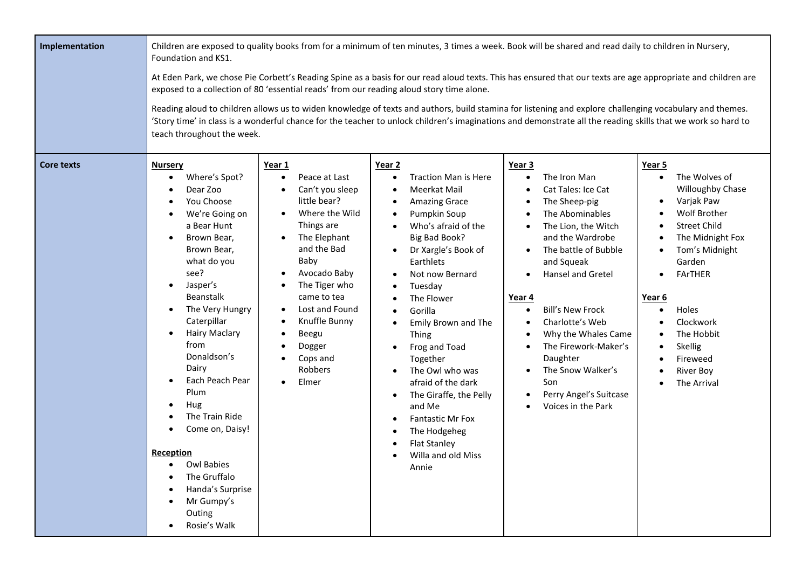| Implementation    | Foundation and KS1.<br>teach throughout the week.                                                                                                                                                                                                                                                                                                                                                                                                             |                                                                                                                                                                                                                                                                                                                                                       | exposed to a collection of 80 'essential reads' from our reading aloud story time alone.                                                                                                                                                                                                                                                                                                                                                                                                                                                                                                                                | Children are exposed to quality books from for a minimum of ten minutes, 3 times a week. Book will be shared and read daily to children in Nursery,<br>At Eden Park, we chose Pie Corbett's Reading Spine as a basis for our read aloud texts. This has ensured that our texts are age appropriate and children are<br>Reading aloud to children allows us to widen knowledge of texts and authors, build stamina for listening and explore challenging vocabulary and themes.<br>'Story time' in class is a wonderful chance for the teacher to unlock children's imaginations and demonstrate all the reading skills that we work so hard to |                                                                                                                                                                                                                                                                                                                      |
|-------------------|---------------------------------------------------------------------------------------------------------------------------------------------------------------------------------------------------------------------------------------------------------------------------------------------------------------------------------------------------------------------------------------------------------------------------------------------------------------|-------------------------------------------------------------------------------------------------------------------------------------------------------------------------------------------------------------------------------------------------------------------------------------------------------------------------------------------------------|-------------------------------------------------------------------------------------------------------------------------------------------------------------------------------------------------------------------------------------------------------------------------------------------------------------------------------------------------------------------------------------------------------------------------------------------------------------------------------------------------------------------------------------------------------------------------------------------------------------------------|------------------------------------------------------------------------------------------------------------------------------------------------------------------------------------------------------------------------------------------------------------------------------------------------------------------------------------------------------------------------------------------------------------------------------------------------------------------------------------------------------------------------------------------------------------------------------------------------------------------------------------------------|----------------------------------------------------------------------------------------------------------------------------------------------------------------------------------------------------------------------------------------------------------------------------------------------------------------------|
| <b>Core texts</b> | <b>Nursery</b><br>Where's Spot?<br>Dear Zoo<br>You Choose<br>We're Going on<br>a Bear Hunt<br>Brown Bear,<br>Brown Bear,<br>what do you<br>see?<br>Jasper's<br>$\bullet$<br>Beanstalk<br>The Very Hungry<br>Caterpillar<br><b>Hairy Maclary</b><br>from<br>Donaldson's<br>Dairy<br>Each Peach Pear<br>Plum<br>Hug<br>The Train Ride<br>Come on, Daisy!<br>Reception<br>Owl Babies<br>The Gruffalo<br>Handa's Surprise<br>Mr Gumpy's<br>Outing<br>Rosie's Walk | Year 1<br>Peace at Last<br>Can't you sleep<br>$\bullet$<br>little bear?<br>Where the Wild<br>$\bullet$<br>Things are<br>The Elephant<br>$\bullet$<br>and the Bad<br>Baby<br>Avocado Baby<br>The Tiger who<br>came to tea<br>Lost and Found<br>$\bullet$<br>Knuffle Bunny<br>$\bullet$<br>Beegu<br>$\bullet$<br>Dogger<br>Cops and<br>Robbers<br>Elmer | Year 2<br><b>Traction Man is Here</b><br>$\bullet$<br>Meerkat Mail<br>٠<br><b>Amazing Grace</b><br>$\bullet$<br>Pumpkin Soup<br>$\bullet$<br>Who's afraid of the<br>Big Bad Book?<br>Dr Xargle's Book of<br>$\bullet$<br>Earthlets<br>Not now Bernard<br>$\bullet$<br>Tuesday<br>The Flower<br>$\bullet$<br>Gorilla<br>$\bullet$<br>Emily Brown and The<br>Thing<br>Frog and Toad<br>Together<br>The Owl who was<br>$\bullet$<br>afraid of the dark<br>The Giraffe, the Pelly<br>$\bullet$<br>and Me<br><b>Fantastic Mr Fox</b><br>$\bullet$<br>The Hodgeheg<br>٠<br><b>Flat Stanley</b><br>Willa and old Miss<br>Annie | Year 3<br>The Iron Man<br>Cat Tales: Ice Cat<br>The Sheep-pig<br>The Abominables<br>The Lion, the Witch<br>and the Wardrobe<br>The battle of Bubble<br>and Squeak<br><b>Hansel and Gretel</b><br>Year 4<br><b>Bill's New Frock</b><br>Charlotte's Web<br>Why the Whales Came<br>The Firework-Maker's<br>Daughter<br>The Snow Walker's<br>Son<br>Perry Angel's Suitcase<br>Voices in the Park                                                                                                                                                                                                                                                   | Year 5<br>The Wolves of<br>$\bullet$<br>Willoughby Chase<br>Varjak Paw<br>٠<br>Wolf Brother<br><b>Street Child</b><br>The Midnight Fox<br>Tom's Midnight<br>٠<br>Garden<br>FArTHER<br>$\bullet$<br>Year 6<br>Holes<br>$\bullet$<br>Clockwork<br>The Hobbit<br>Skellig<br>Fireweed<br><b>River Boy</b><br>The Arrival |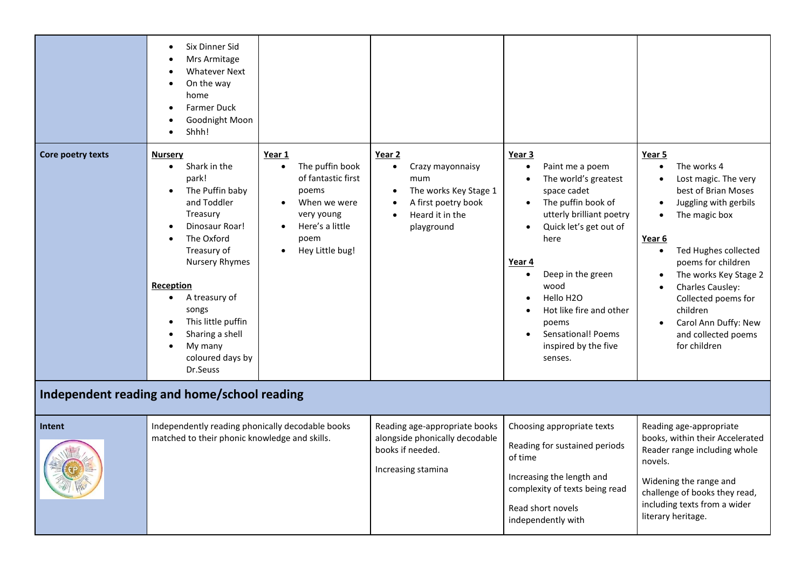|                   | Six Dinner Sid<br>Mrs Armitage<br><b>Whatever Next</b><br>On the way<br>home<br><b>Farmer Duck</b><br>Goodnight Moon<br>Shhh!                                                                                                                                                                                            |                                                                                                                                                                             |                                                                                                                                                                        |                                                                                                                                                                                                                                                                                                                                                                        |                                                                                                                                                                                                                                                                                                                                                                                                     |
|-------------------|--------------------------------------------------------------------------------------------------------------------------------------------------------------------------------------------------------------------------------------------------------------------------------------------------------------------------|-----------------------------------------------------------------------------------------------------------------------------------------------------------------------------|------------------------------------------------------------------------------------------------------------------------------------------------------------------------|------------------------------------------------------------------------------------------------------------------------------------------------------------------------------------------------------------------------------------------------------------------------------------------------------------------------------------------------------------------------|-----------------------------------------------------------------------------------------------------------------------------------------------------------------------------------------------------------------------------------------------------------------------------------------------------------------------------------------------------------------------------------------------------|
| Core poetry texts | <b>Nursery</b><br>Shark in the<br>$\bullet$<br>park!<br>The Puffin baby<br>$\bullet$<br>and Toddler<br>Treasury<br>Dinosaur Roar!<br>The Oxford<br>Treasury of<br>Nursery Rhymes<br>Reception<br>A treasury of<br>$\bullet$<br>songs<br>This little puffin<br>Sharing a shell<br>My many<br>coloured days by<br>Dr.Seuss | Year 1<br>The puffin book<br>$\bullet$<br>of fantastic first<br>poems<br>When we were<br>$\bullet$<br>very young<br>Here's a little<br>poem<br>Hey Little bug!<br>$\bullet$ | Year 2<br>Crazy mayonnaisy<br>$\bullet$<br>mum<br>The works Key Stage 1<br>$\bullet$<br>A first poetry book<br>$\bullet$<br>Heard it in the<br>$\bullet$<br>playground | Year 3<br>Paint me a poem<br>The world's greatest<br>$\bullet$<br>space cadet<br>The puffin book of<br>$\bullet$<br>utterly brilliant poetry<br>Quick let's get out of<br>$\bullet$<br>here<br>Year 4<br>Deep in the green<br>wood<br>Hello H <sub>2</sub> O<br>Hot like fire and other<br>poems<br>Sensational! Poems<br>$\bullet$<br>inspired by the five<br>senses. | Year 5<br>The works 4<br>$\bullet$<br>Lost magic. The very<br>$\bullet$<br>best of Brian Moses<br>Juggling with gerbils<br>$\bullet$<br>The magic box<br>$\bullet$<br>Year 6<br>Ted Hughes collected<br>$\bullet$<br>poems for children<br>The works Key Stage 2<br>Charles Causley:<br>Collected poems for<br>children<br>Carol Ann Duffy: New<br>$\bullet$<br>and collected poems<br>for children |
|                   | Independent reading and home/school reading                                                                                                                                                                                                                                                                              |                                                                                                                                                                             |                                                                                                                                                                        |                                                                                                                                                                                                                                                                                                                                                                        |                                                                                                                                                                                                                                                                                                                                                                                                     |
| Intent            | Independently reading phonically decodable books<br>matched to their phonic knowledge and skills.                                                                                                                                                                                                                        |                                                                                                                                                                             | Reading age-appropriate books<br>alongside phonically decodable<br>books if needed.<br>Increasing stamina                                                              | Choosing appropriate texts<br>Reading for sustained periods<br>of time<br>Increasing the length and<br>complexity of texts being read<br>Read short novels<br>independently with                                                                                                                                                                                       | Reading age-appropriate<br>books, within their Accelerated<br>Reader range including whole<br>novels.<br>Widening the range and<br>challenge of books they read,<br>including texts from a wider<br>literary heritage.                                                                                                                                                                              |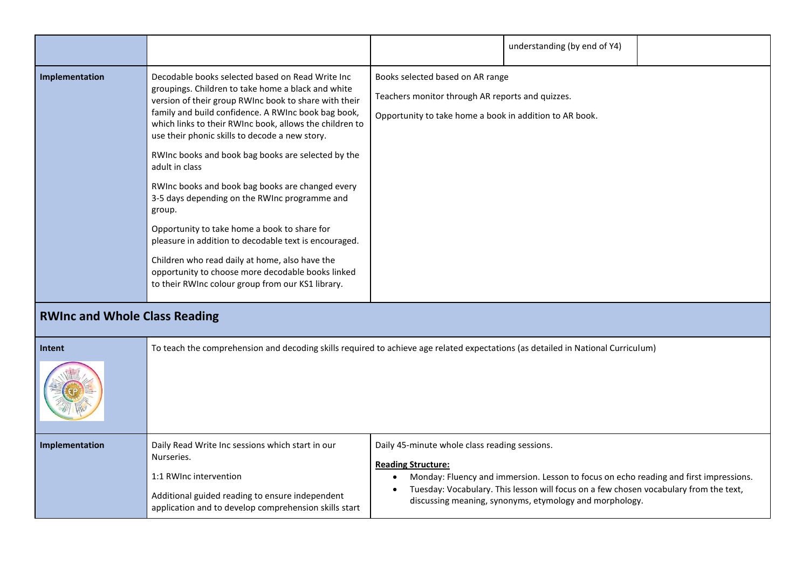|                                      |                                                                                                                                                                                                                                                                                                                                                                                                                                                                                                                                                                                                                                                                                                                                                                                                 |                                                                                                                                                 | understanding (by end of Y4) |  |
|--------------------------------------|-------------------------------------------------------------------------------------------------------------------------------------------------------------------------------------------------------------------------------------------------------------------------------------------------------------------------------------------------------------------------------------------------------------------------------------------------------------------------------------------------------------------------------------------------------------------------------------------------------------------------------------------------------------------------------------------------------------------------------------------------------------------------------------------------|-------------------------------------------------------------------------------------------------------------------------------------------------|------------------------------|--|
| Implementation                       | Decodable books selected based on Read Write Inc<br>groupings. Children to take home a black and white<br>version of their group RWInc book to share with their<br>family and build confidence. A RWInc book bag book,<br>which links to their RWInc book, allows the children to<br>use their phonic skills to decode a new story.<br>RWInc books and book bag books are selected by the<br>adult in class<br>RWInc books and book bag books are changed every<br>3-5 days depending on the RWInc programme and<br>group.<br>Opportunity to take home a book to share for<br>pleasure in addition to decodable text is encouraged.<br>Children who read daily at home, also have the<br>opportunity to choose more decodable books linked<br>to their RWInc colour group from our KS1 library. | Books selected based on AR range<br>Teachers monitor through AR reports and quizzes.<br>Opportunity to take home a book in addition to AR book. |                              |  |
| <b>RWInc and Whole Class Reading</b> |                                                                                                                                                                                                                                                                                                                                                                                                                                                                                                                                                                                                                                                                                                                                                                                                 |                                                                                                                                                 |                              |  |
|                                      |                                                                                                                                                                                                                                                                                                                                                                                                                                                                                                                                                                                                                                                                                                                                                                                                 |                                                                                                                                                 |                              |  |

| Intent         | To teach the comprehension and decoding skills required to achieve age related expectations (as detailed in National Curriculum)                                                                     |                                                                                                                                                                                                                                                                                                                                           |  |
|----------------|------------------------------------------------------------------------------------------------------------------------------------------------------------------------------------------------------|-------------------------------------------------------------------------------------------------------------------------------------------------------------------------------------------------------------------------------------------------------------------------------------------------------------------------------------------|--|
|                |                                                                                                                                                                                                      |                                                                                                                                                                                                                                                                                                                                           |  |
| Implementation | Daily Read Write Inc sessions which start in our<br>Nurseries.<br>1:1 RWInc intervention<br>Additional guided reading to ensure independent<br>application and to develop comprehension skills start | Daily 45-minute whole class reading sessions.<br><b>Reading Structure:</b><br>Monday: Fluency and immersion. Lesson to focus on echo reading and first impressions.<br>$\bullet$<br>Tuesday: Vocabulary. This lesson will focus on a few chosen vocabulary from the text,<br>٠<br>discussing meaning, synonyms, etymology and morphology. |  |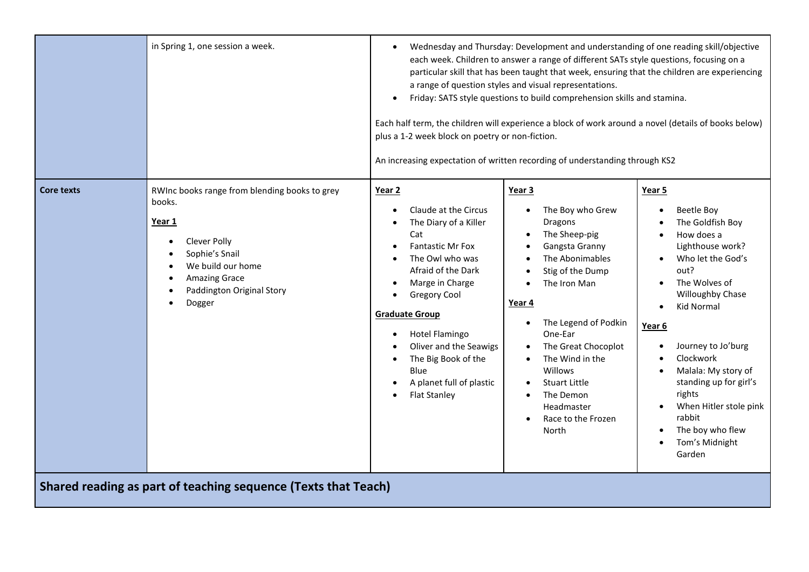|                                                                | in Spring 1, one session a week.                                                                                                                                                                     | plus a 1-2 week block on poetry or non-fiction.                                                                                                                                                                                                                                                                                                  | Wednesday and Thursday: Development and understanding of one reading skill/objective<br>each week. Children to answer a range of different SATs style questions, focusing on a<br>particular skill that has been taught that week, ensuring that the children are experiencing<br>a range of question styles and visual representations.<br>Friday: SATS style questions to build comprehension skills and stamina.<br>Each half term, the children will experience a block of work around a novel (details of books below)<br>An increasing expectation of written recording of understanding through KS2 |                                                                                                                                                                                                                                                                                                                                                                                                                                                                                  |
|----------------------------------------------------------------|------------------------------------------------------------------------------------------------------------------------------------------------------------------------------------------------------|--------------------------------------------------------------------------------------------------------------------------------------------------------------------------------------------------------------------------------------------------------------------------------------------------------------------------------------------------|------------------------------------------------------------------------------------------------------------------------------------------------------------------------------------------------------------------------------------------------------------------------------------------------------------------------------------------------------------------------------------------------------------------------------------------------------------------------------------------------------------------------------------------------------------------------------------------------------------|----------------------------------------------------------------------------------------------------------------------------------------------------------------------------------------------------------------------------------------------------------------------------------------------------------------------------------------------------------------------------------------------------------------------------------------------------------------------------------|
| <b>Core texts</b>                                              | RWInc books range from blending books to grey<br>books.<br>Year 1<br>Clever Polly<br>$\bullet$<br>Sophie's Snail<br>We build our home<br><b>Amazing Grace</b><br>Paddington Original Story<br>Dogger | Year 2<br>Claude at the Circus<br>The Diary of a Killer<br>Cat<br><b>Fantastic Mr Fox</b><br>The Owl who was<br>Afraid of the Dark<br>Marge in Charge<br><b>Gregory Cool</b><br><b>Graduate Group</b><br>Hotel Flamingo<br>Oliver and the Seawigs<br>The Big Book of the<br>$\bullet$<br>Blue<br>A planet full of plastic<br><b>Flat Stanley</b> | Year 3<br>The Boy who Grew<br>Dragons<br>The Sheep-pig<br>Gangsta Granny<br>The Abonimables<br>Stig of the Dump<br>The Iron Man<br>Year 4<br>The Legend of Podkin<br>$\bullet$<br>One-Ear<br>The Great Chocoplot<br>The Wind in the<br><b>Willows</b><br><b>Stuart Little</b><br>The Demon<br>Headmaster<br>Race to the Frozen<br>$\bullet$<br>North                                                                                                                                                                                                                                                       | Year 5<br><b>Beetle Boy</b><br>$\bullet$<br>The Goldfish Boy<br>How does a<br>$\bullet$<br>Lighthouse work?<br>Who let the God's<br>out?<br>The Wolves of<br>$\bullet$<br>Willoughby Chase<br>Kid Normal<br>$\bullet$<br>Year <sub>6</sub><br>Journey to Jo'burg<br>$\bullet$<br>Clockwork<br>$\bullet$<br>Malala: My story of<br>$\bullet$<br>standing up for girl's<br>rights<br>When Hitler stole pink<br>rabbit<br>The boy who flew<br>Tom's Midnight<br>$\bullet$<br>Garden |
| Shared reading as part of teaching sequence (Texts that Teach) |                                                                                                                                                                                                      |                                                                                                                                                                                                                                                                                                                                                  |                                                                                                                                                                                                                                                                                                                                                                                                                                                                                                                                                                                                            |                                                                                                                                                                                                                                                                                                                                                                                                                                                                                  |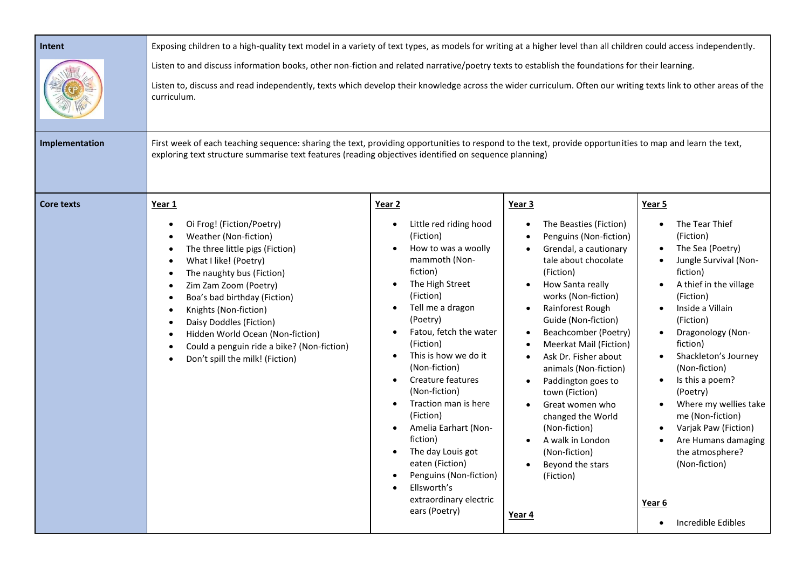| Intent            | Exposing children to a high-quality text model in a variety of text types, as models for writing at a higher level than all children could access independently.                                                                                                                                                                                                                                                                                                                                             |                                                                                                                                                                                                                                                                                                                                                                                                                                                                                                                                                               |                                                                                                                                                                                                                                                                                                                                                                                                                                                                                                                             |                                                                                                                                                                                                                                                                                                                                                                                                                                                                                                     |  |
|-------------------|--------------------------------------------------------------------------------------------------------------------------------------------------------------------------------------------------------------------------------------------------------------------------------------------------------------------------------------------------------------------------------------------------------------------------------------------------------------------------------------------------------------|---------------------------------------------------------------------------------------------------------------------------------------------------------------------------------------------------------------------------------------------------------------------------------------------------------------------------------------------------------------------------------------------------------------------------------------------------------------------------------------------------------------------------------------------------------------|-----------------------------------------------------------------------------------------------------------------------------------------------------------------------------------------------------------------------------------------------------------------------------------------------------------------------------------------------------------------------------------------------------------------------------------------------------------------------------------------------------------------------------|-----------------------------------------------------------------------------------------------------------------------------------------------------------------------------------------------------------------------------------------------------------------------------------------------------------------------------------------------------------------------------------------------------------------------------------------------------------------------------------------------------|--|
|                   | Listen to and discuss information books, other non-fiction and related narrative/poetry texts to establish the foundations for their learning.<br>Listen to, discuss and read independently, texts which develop their knowledge across the wider curriculum. Often our writing texts link to other areas of the<br>curriculum.                                                                                                                                                                              |                                                                                                                                                                                                                                                                                                                                                                                                                                                                                                                                                               |                                                                                                                                                                                                                                                                                                                                                                                                                                                                                                                             |                                                                                                                                                                                                                                                                                                                                                                                                                                                                                                     |  |
| Implementation    | First week of each teaching sequence: sharing the text, providing opportunities to respond to the text, provide opportunities to map and learn the text,<br>exploring text structure summarise text features (reading objectives identified on sequence planning)                                                                                                                                                                                                                                            |                                                                                                                                                                                                                                                                                                                                                                                                                                                                                                                                                               |                                                                                                                                                                                                                                                                                                                                                                                                                                                                                                                             |                                                                                                                                                                                                                                                                                                                                                                                                                                                                                                     |  |
| <b>Core texts</b> | Year 1<br>Oi Frog! (Fiction/Poetry)<br>$\bullet$<br>Weather (Non-fiction)<br>The three little pigs (Fiction)<br>$\bullet$<br>What I like! (Poetry)<br>$\bullet$<br>The naughty bus (Fiction)<br>Zim Zam Zoom (Poetry)<br>$\bullet$<br>Boa's bad birthday (Fiction)<br>$\bullet$<br>Knights (Non-fiction)<br>$\bullet$<br>Daisy Doddles (Fiction)<br>$\bullet$<br>Hidden World Ocean (Non-fiction)<br>$\bullet$<br>Could a penguin ride a bike? (Non-fiction)<br>Don't spill the milk! (Fiction)<br>$\bullet$ | Year 2<br>Little red riding hood<br>$\bullet$<br>(Fiction)<br>How to was a woolly<br>mammoth (Non-<br>fiction)<br>The High Street<br>$\bullet$<br>(Fiction)<br>Tell me a dragon<br>(Poetry)<br>Fatou, fetch the water<br>(Fiction)<br>This is how we do it<br>$\bullet$<br>(Non-fiction)<br>Creature features<br>$\bullet$<br>(Non-fiction)<br>Traction man is here<br>(Fiction)<br>Amelia Earhart (Non-<br>fiction)<br>The day Louis got<br>$\bullet$<br>eaten (Fiction)<br>Penguins (Non-fiction)<br>Ellsworth's<br>extraordinary electric<br>ears (Poetry) | Year <sub>3</sub><br>The Beasties (Fiction)<br>Penguins (Non-fiction)<br>Grendal, a cautionary<br>tale about chocolate<br>(Fiction)<br>How Santa really<br>works (Non-fiction)<br>Rainforest Rough<br>Guide (Non-fiction)<br>Beachcomber (Poetry)<br><b>Meerkat Mail (Fiction)</b><br>Ask Dr. Fisher about<br>animals (Non-fiction)<br>Paddington goes to<br>town (Fiction)<br>Great women who<br>changed the World<br>(Non-fiction)<br>A walk in London<br>(Non-fiction)<br>Beyond the stars<br>(Fiction)<br><u>Year 4</u> | Year 5<br>The Tear Thief<br>$\bullet$<br>(Fiction)<br>The Sea (Poetry)<br>Jungle Survival (Non-<br>$\bullet$<br>fiction)<br>A thief in the village<br>$\bullet$<br>(Fiction)<br>Inside a Villain<br>(Fiction)<br>Dragonology (Non-<br>fiction)<br>Shackleton's Journey<br>(Non-fiction)<br>Is this a poem?<br>(Poetry)<br>Where my wellies take<br>me (Non-fiction)<br>Varjak Paw (Fiction)<br>Are Humans damaging<br>the atmosphere?<br>(Non-fiction)<br>Year 6<br>Incredible Edibles<br>$\bullet$ |  |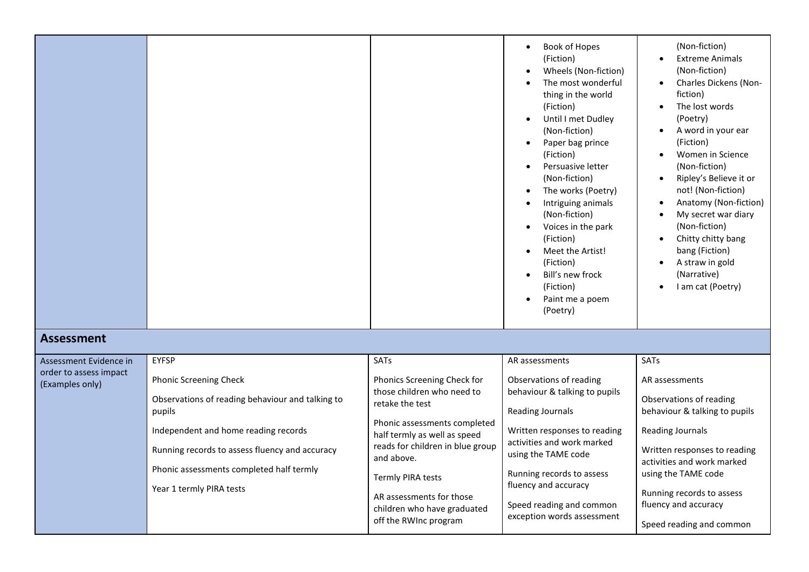|                                                  |                                                                                                                                                                                                                                                               |                                                                                                                                                                                                                                                                                                                | Book of Hopes<br>(Fiction)<br>Wheels (Non-fiction)<br>The most wonderful<br>thing in the world<br>(Fiction)<br>Until I met Dudley<br>(Non-fiction)<br>Paper bag prince<br>(Fiction)<br>Persuasive letter<br>(Non-fiction)<br>The works (Poetry)<br>Intriguing animals<br>(Non-fiction)<br>Voices in the park<br>(Fiction)<br>Meet the Artist!<br>(Fiction)<br>Bill's new frock<br>(Fiction)<br>Paint me a poem<br>(Poetry) | (Non-fiction)<br><b>Extreme Animals</b><br>(Non-fiction)<br>Charles Dickens (Non-<br>fiction)<br>The lost words<br>(Poetry)<br>A word in your ear<br>(Fiction)<br>Women in Science<br>(Non-fiction)<br>Ripley's Believe it or<br>not! (Non-fiction)<br>Anatomy (Non-fiction)<br>My secret war diary<br>(Non-fiction)<br>Chitty chitty bang<br>bang (Fiction)<br>A straw in gold<br>(Narrative)<br>I am cat (Poetry) |
|--------------------------------------------------|---------------------------------------------------------------------------------------------------------------------------------------------------------------------------------------------------------------------------------------------------------------|----------------------------------------------------------------------------------------------------------------------------------------------------------------------------------------------------------------------------------------------------------------------------------------------------------------|----------------------------------------------------------------------------------------------------------------------------------------------------------------------------------------------------------------------------------------------------------------------------------------------------------------------------------------------------------------------------------------------------------------------------|---------------------------------------------------------------------------------------------------------------------------------------------------------------------------------------------------------------------------------------------------------------------------------------------------------------------------------------------------------------------------------------------------------------------|
| <b>Assessment</b>                                |                                                                                                                                                                                                                                                               |                                                                                                                                                                                                                                                                                                                |                                                                                                                                                                                                                                                                                                                                                                                                                            |                                                                                                                                                                                                                                                                                                                                                                                                                     |
| Assessment Evidence in<br>order to assess impact | <b>EYFSP</b>                                                                                                                                                                                                                                                  | SATs                                                                                                                                                                                                                                                                                                           | AR assessments                                                                                                                                                                                                                                                                                                                                                                                                             | SATs                                                                                                                                                                                                                                                                                                                                                                                                                |
| (Examples only)                                  | <b>Phonic Screening Check</b><br>Observations of reading behaviour and talking to<br>pupils<br>Independent and home reading records<br>Running records to assess fluency and accuracy<br>Phonic assessments completed half termly<br>Year 1 termly PIRA tests | Phonics Screening Check for<br>those children who need to<br>retake the test<br>Phonic assessments completed<br>half termly as well as speed<br>reads for children in blue group<br>and above.<br><b>Termly PIRA tests</b><br>AR assessments for those<br>children who have graduated<br>off the RWInc program | Observations of reading<br>behaviour & talking to pupils<br><b>Reading Journals</b><br>Written responses to reading<br>activities and work marked<br>using the TAME code<br>Running records to assess<br>fluency and accuracy<br>Speed reading and common<br>exception words assessment                                                                                                                                    | AR assessments<br>Observations of reading<br>behaviour & talking to pupils<br>Reading Journals<br>Written responses to reading<br>activities and work marked<br>using the TAME code<br>Running records to assess<br>fluency and accuracy<br>Speed reading and common                                                                                                                                                |